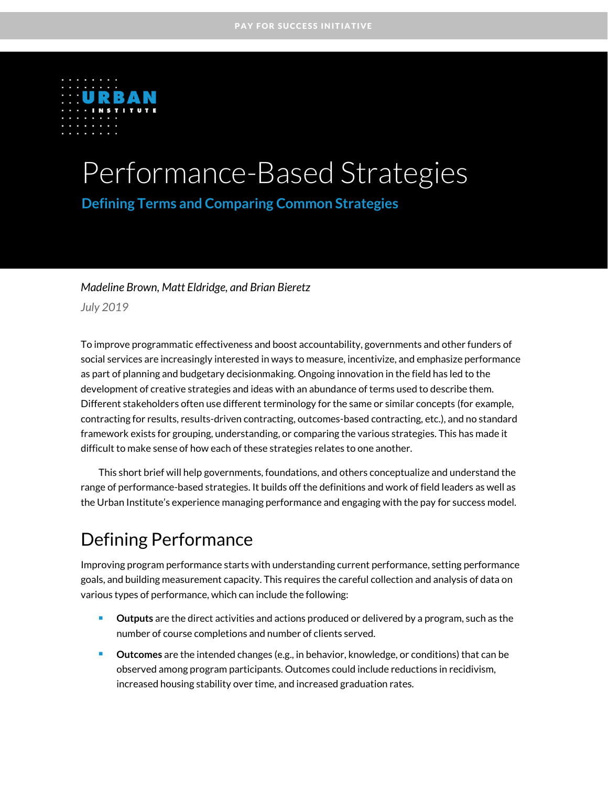

# Performance-Based Strategies

**Defining Terms and Comparing Common Strategies**

#### *Madeline Brown, Matt Eldridge, and Brian Bieretz*

*July 2019*

To improve programmatic effectiveness and boost accountability, governments and other funders of social services are increasingly interested in ways to measure, incentivize, and emphasize performance as part of planning and budgetary decisionmaking. Ongoing innovation in the field has led to the development of creative strategies and ideas with an abundance of terms used to describe them. Different stakeholders often use different terminology for the same or similar concepts (for example, contracting for results, results-driven contracting, outcomes-based contracting, etc.), and no standard framework exists for grouping, understanding, or comparing the various strategies. This has made it difficult to make sense of how each of these strategies relates to one another.

This short brief will help governments, foundations, and others conceptualize and understand the range of performance-based strategies. It builds off the definitions and work of field leaders as well as the Urban Institute's experience managing performance and engaging with the pay for success model.

# Defining Performance

Improving program performance starts with understanding current performance, setting performance goals, and building measurement capacity. This requires the careful collection and analysis of data on various types of performance, which can include the following:

- **Dutputs** are the direct activities and actions produced or delivered by a program, such as the number of course completions and number of clients served.
- **Dutcomes** are the intended changes (e.g., in behavior, knowledge, or conditions) that can be observed among program participants. Outcomes could include reductions in recidivism, increased housing stability over time, and increased graduation rates.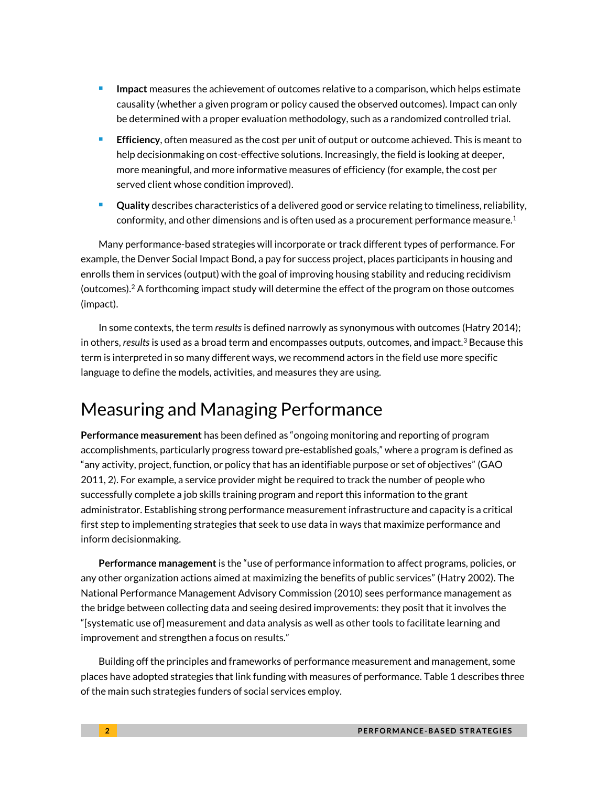- **Impact** measures the achievement of outcomes relative to a comparison, which helps estimate causality (whether a given program or policy caused the observed outcomes). Impact can only be determined with a proper evaluation methodology, such as a randomized controlled trial.
- **Efficiency**, often measured as the cost per unit of output or outcome achieved. This is meant to help decisionmaking on cost-effective solutions. Increasingly, the field is looking at deeper, more meaningful, and more informative measures of efficiency (for example, the cost per served client whose condition improved).
- **Quality** describes characteristics of a delivered good or service relating to timeliness, reliability, conformity, and other dimensions and is often used as a procurement performance measure. $1$

Many performance-based strategies will incorporate or track different types of performance. For example, the Denver Social Impact Bond, a pay for success project, places participants in housing and enrolls them in services (output) with the goal of improving housing stability and reducing recidivism (outcomes). $2A$  forthcoming impact study will determine the effect of the program on those outcomes (impact).

In some contexts, the term *results* is defined narrowly as synonymous with outcomes (Hatry 2014); in others, *results* is used as a broad term and encompasses outputs, outcomes, and impact.<sup>3</sup> Because this term is interpreted in so many different ways, we recommend actors in the field use more specific language to define the models, activities, and measures they are using.

# Measuring and Managing Performance

**Performance measurement** has been defined as "ongoing monitoring and reporting of program accomplishments, particularly progress toward pre-established goals," where a program is defined as "any activity, project, function, or policy that has an identifiable purpose or set of objectives" (GAO 2011, 2). For example, a service provider might be required to track the number of people who successfully complete a job skills training program and report this information to the grant administrator. Establishing strong performance measurement infrastructure and capacity is a critical first step to implementing strategies that seek to use data in ways that maximize performance and inform decisionmaking.

**Performance management** is the "use of performance information to affect programs, policies, or any other organization actions aimed at maximizing the benefits of public services" (Hatry 2002). The National Performance Management Advisory Commission (2010) sees performance management as the bridge between collecting data and seeing desired improvements: they posit that it involves the "[systematic use of] measurement and data analysis as well as other tools to facilitate learning and improvement and strengthen a focus on results."

Building off the principles and frameworks of performance measurement and management, some places have adopted strategies that link funding with measures of performance. Table 1 describes three of the main such strategies funders of social services employ.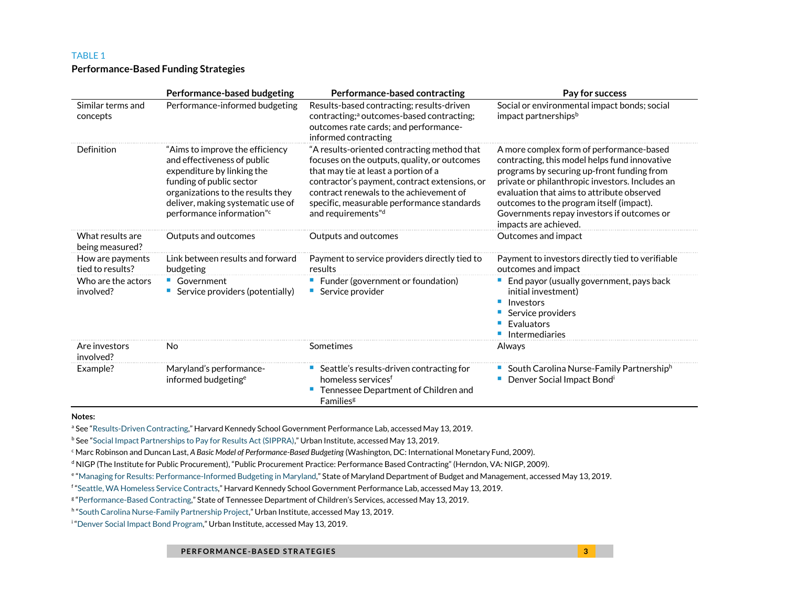#### TABLE 1

#### **Performance-Based Funding Strategies**

|                                      | Performance-based budgeting                                                                                                                                                                                                     | Performance-based contracting                                                                                                                                                                                                                                                                       | Pay for success                                                                                                                                                                                                                                                                                                                                             |
|--------------------------------------|---------------------------------------------------------------------------------------------------------------------------------------------------------------------------------------------------------------------------------|-----------------------------------------------------------------------------------------------------------------------------------------------------------------------------------------------------------------------------------------------------------------------------------------------------|-------------------------------------------------------------------------------------------------------------------------------------------------------------------------------------------------------------------------------------------------------------------------------------------------------------------------------------------------------------|
| Similar terms and<br>concepts        | Performance-informed budgeting                                                                                                                                                                                                  | Results-based contracting; results-driven<br>contracting; <sup>a</sup> outcomes-based contracting;<br>outcomes rate cards; and performance-<br>informed contracting                                                                                                                                 | Social or environmental impact bonds; social<br>impact partnerships <sup>b</sup>                                                                                                                                                                                                                                                                            |
| Definition                           | "Aims to improve the efficiency<br>and effectiveness of public<br>expenditure by linking the<br>funding of public sector<br>organizations to the results they<br>deliver, making systematic use of<br>performance information"c | "A results-oriented contracting method that<br>focuses on the outputs, quality, or outcomes<br>that may tie at least a portion of a<br>contractor's payment, contract extensions, or<br>contract renewals to the achievement of<br>specific, measurable performance standards<br>and requirements"d | A more complex form of performance-based<br>contracting, this model helps fund innovative<br>programs by securing up-front funding from<br>private or philanthropic investors. Includes an<br>evaluation that aims to attribute observed<br>outcomes to the program itself (impact).<br>Governments repay investors if outcomes or<br>impacts are achieved. |
| What results are<br>being measured?  | Outputs and outcomes                                                                                                                                                                                                            | Outputs and outcomes                                                                                                                                                                                                                                                                                | Outcomes and impact                                                                                                                                                                                                                                                                                                                                         |
| How are payments<br>tied to results? | Link between results and forward<br>budgeting                                                                                                                                                                                   | Payment to service providers directly tied to<br>results                                                                                                                                                                                                                                            | Payment to investors directly tied to verifiable<br>outcomes and impact                                                                                                                                                                                                                                                                                     |
| Who are the actors<br>involved?      | • Government<br>Service providers (potentially)                                                                                                                                                                                 | • Funder (government or foundation)<br>Service provider                                                                                                                                                                                                                                             | End payor (usually government, pays back<br>initial investment)<br>Investors<br>Service providers<br>Evaluators<br>Intermediaries                                                                                                                                                                                                                           |
| Are investors<br>involved?           | No                                                                                                                                                                                                                              | Sometimes                                                                                                                                                                                                                                                                                           | Always                                                                                                                                                                                                                                                                                                                                                      |
| Example?                             | Maryland's performance-<br>informed budgeting <sup>e</sup>                                                                                                                                                                      | ■ Seattle's results-driven contracting for<br>homeless services <sup>f</sup><br>Tennessee Department of Children and<br>Families <sup>g</sup>                                                                                                                                                       | South Carolina Nurse-Family Partnershiph<br>Denver Social Impact Bondi                                                                                                                                                                                                                                                                                      |

**Notes:**

a See "[Results-Driven Contracting](https://govlab.hks.harvard.edu/results-driven-contracting)," Harvard Kennedy School Government Performance Lab, accessed May 13, 2019.

<sup>b</sup> See "[Social Impact Partnerships to Pay for Results Act \(SIPPRA\)](https://pfs.urban.org/get-started/issue-areas/content/social-impact-partnerships-pay-results-act-sippra)," Urban Institute, accessed May 13, 2019.

<sup>c</sup> Marc Robinson and Duncan Last, *A Basic Model of Performance-Based Budgeting* (Washington, DC: International Monetary Fund, 2009).

<sup>d</sup> NIGP (The Institute for Public Procurement), "Public Procurement Practice: Performance Based Contracting" (Herndon, VA: NIGP, 2009).

e "[Managing for Results: Performance-Informed Budgeting in Maryland](https://dbm.maryland.gov/Pages/ManagingResultsMaryland.aspx)," State of Maryland Department of Budget and Management, accessed May 13, 2019.

f "[Seattle, WA Homeless Service Contracts](https://govlab.hks.harvard.edu/seattle-wa-homeless-service-contracts)," Harvard Kennedy School Government Performance Lab, accessed May 13, 2019.

g "[Performance-Based Contracting](https://www.tn.gov/dcs/for-providers/performance-based-contracting.html)," State of Tennessee Department of Children's Services*,* accessed May 13, 2019.

h "[South Carolina Nurse-Family Partnership Project](https://pfs.urban.org/pfs-project-fact-sheets/content/south-carolina-nurse-family-partnership-project)," Urban Institute, accessed May 13, 2019.

i "[Denver Social Impact Bond Program](https://pfs.urban.org/pfs-project-fact-sheets/content/denver-social-impact-bond-program)," Urban Institute, accessed May 13, 2019.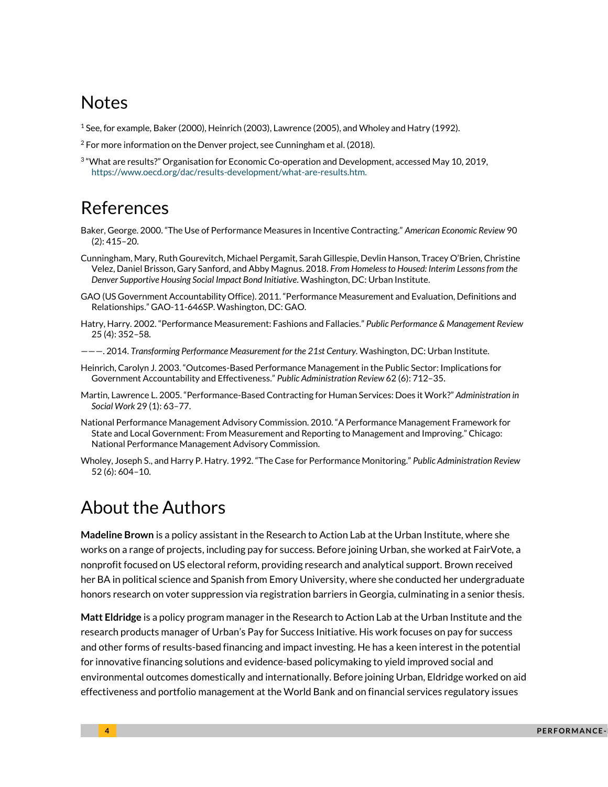## Notes

- $1$  See, for example, Baker (2000), Heinrich (2003), Lawrence (2005), and Wholey and Hatry (1992).
- $2$  For more information on the Denver project, see Cunningham et al. (2018).
- 3 "What are results?" Organisation for Economic Co-operation and Development, accessed May 10, 2019, [https://www.oecd.org/dac/results-development/what-are-results.htm.](https://www.oecd.org/dac/results-development/what-are-results.htm)

## References

- Baker, George. 2000. "The Use of Performance Measures in Incentive Contracting." *American Economic Review* 90 (2): 415–20.
- Cunningham, Mary, Ruth Gourevitch, Michael Pergamit, Sarah Gillespie, Devlin Hanson, Tracey O'Brien, Christine Velez, Daniel Brisson, Gary Sanford, and Abby Magnus. 2018. *From Homeless to Housed: Interim Lessons from the Denver Supportive Housing Social Impact Bond Initiative*. Washington, DC: Urban Institute.
- GAO (US Government Accountability Office). 2011. "Performance Measurement and Evaluation, Definitions and Relationships." GAO-11-646SP. Washington, DC: GAO.
- Hatry, Harry. 2002. "Performance Measurement: Fashions and Fallacies." *Public Performance & Management Review*  25 (4): 352–58.
- ———. 2014. *Transforming Performance Measurement for the 21st Century.* Washington, DC: Urban Institute.
- Heinrich, Carolyn J. 2003. "Outcomes-Based Performance Management in the Public Sector: Implications for Government Accountability and Effectiveness." *Public Administration Review* 62 (6): 712–35.
- Martin, Lawrence L. 2005. "Performance-Based Contracting for Human Services: Does it Work?" *Administration in Social Work* 29 (1): 63–77.
- National Performance Management Advisory Commission. 2010. "A Performance Management Framework for State and Local Government: From Measurement and Reporting to Management and Improving." Chicago: National Performance Management Advisory Commission.
- Wholey, Joseph S., and Harry P. Hatry. 1992. "The Case for Performance Monitoring." *Public Administration Review* 52 (6): 604–10.

## About the Authors

**Madeline Brown** is a policy assistant in the Research to Action Lab at the Urban Institute, where she works on a range of projects, including pay for success. Before joining Urban, she worked at FairVote, a nonprofit focused on US electoral reform, providing research and analytical support. Brown received her BA in political science and Spanish from Emory University, where she conducted her undergraduate honors research on voter suppression via registration barriers in Georgia, culminating in a senior thesis.

**Matt Eldridge** is a policy program manager in the Research to Action Lab at the Urban Institute and the research products manager of Urban's Pay for Success Initiative. His work focuses on pay for success and other forms of results-based financing and impact investing. He has a keen interest in the potential for innovative financing solutions and evidence-based policymaking to yield improved social and environmental outcomes domestically and internationally. Before joining Urban, Eldridge worked on aid effectiveness and portfolio management at the World Bank and on financial services regulatory issues